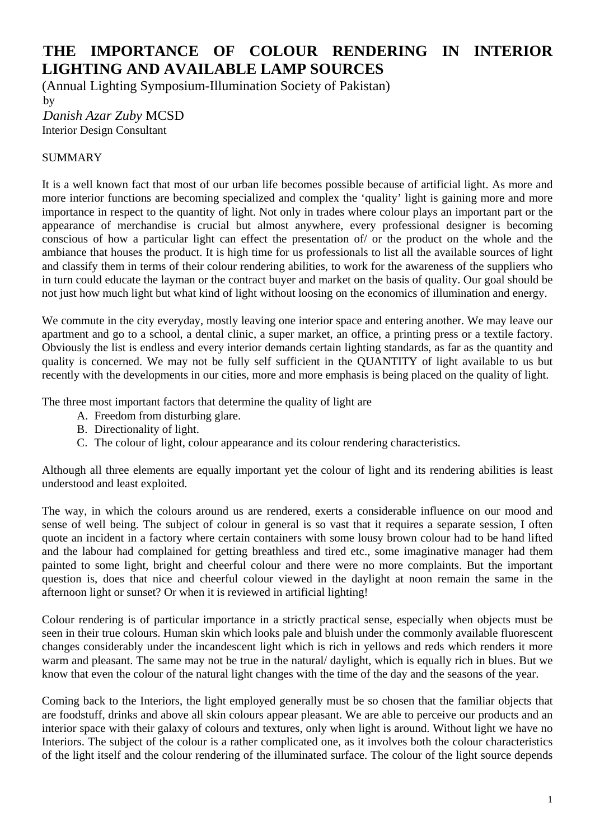## 0B**THE IMPORTANCE OF COLOUR RENDERING IN INTERIOR LIGHTING AND AVAILABLE LAMP SOURCES**

(Annual Lighting Symposium-Illumination Society of Pakistan)  $16y$ 2B*Danish Azar Zuby* MCSD Interior Design Consultant

## SUMMARY

It is a well known fact that most of our urban life becomes possible because of artificial light. As more and more interior functions are becoming specialized and complex the 'quality' light is gaining more and more importance in respect to the quantity of light. Not only in trades where colour plays an important part or the appearance of merchandise is crucial but almost anywhere, every professional designer is becoming conscious of how a particular light can effect the presentation of/ or the product on the whole and the ambiance that houses the product. It is high time for us professionals to list all the available sources of light and classify them in terms of their colour rendering abilities, to work for the awareness of the suppliers who in turn could educate the layman or the contract buyer and market on the basis of quality. Our goal should be not just how much light but what kind of light without loosing on the economics of illumination and energy.

We commute in the city everyday, mostly leaving one interior space and entering another. We may leave our apartment and go to a school, a dental clinic, a super market, an office, a printing press or a textile factory. Obviously the list is endless and every interior demands certain lighting standards, as far as the quantity and quality is concerned. We may not be fully self sufficient in the QUANTITY of light available to us but recently with the developments in our cities, more and more emphasis is being placed on the quality of light.

The three most important factors that determine the quality of light are

- A. Freedom from disturbing glare.
- B. Directionality of light.
- C. The colour of light, colour appearance and its colour rendering characteristics.

Although all three elements are equally important yet the colour of light and its rendering abilities is least understood and least exploited.

The way, in which the colours around us are rendered, exerts a considerable influence on our mood and sense of well being. The subject of colour in general is so vast that it requires a separate session, I often quote an incident in a factory where certain containers with some lousy brown colour had to be hand lifted and the labour had complained for getting breathless and tired etc., some imaginative manager had them painted to some light, bright and cheerful colour and there were no more complaints. But the important question is, does that nice and cheerful colour viewed in the daylight at noon remain the same in the afternoon light or sunset? Or when it is reviewed in artificial lighting!

Colour rendering is of particular importance in a strictly practical sense, especially when objects must be seen in their true colours. Human skin which looks pale and bluish under the commonly available fluorescent changes considerably under the incandescent light which is rich in yellows and reds which renders it more warm and pleasant. The same may not be true in the natural/ daylight, which is equally rich in blues. But we know that even the colour of the natural light changes with the time of the day and the seasons of the year.

Coming back to the Interiors, the light employed generally must be so chosen that the familiar objects that are foodstuff, drinks and above all skin colours appear pleasant. We are able to perceive our products and an interior space with their galaxy of colours and textures, only when light is around. Without light we have no Interiors. The subject of the colour is a rather complicated one, as it involves both the colour characteristics of the light itself and the colour rendering of the illuminated surface. The colour of the light source depends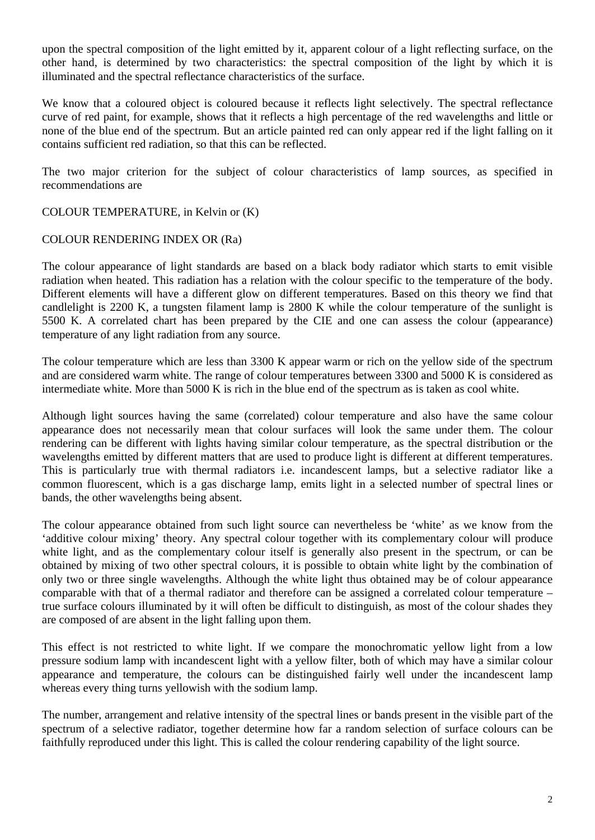upon the spectral composition of the light emitted by it, apparent colour of a light reflecting surface, on the other hand, is determined by two characteristics: the spectral composition of the light by which it is illuminated and the spectral reflectance characteristics of the surface.

We know that a coloured object is coloured because it reflects light selectively. The spectral reflectance curve of red paint, for example, shows that it reflects a high percentage of the red wavelengths and little or none of the blue end of the spectrum. But an article painted red can only appear red if the light falling on it contains sufficient red radiation, so that this can be reflected.

The two major criterion for the subject of colour characteristics of lamp sources, as specified in recommendations are

## COLOUR TEMPERATURE, in Kelvin or (K)

## COLOUR RENDERING INDEX OR (Ra)

The colour appearance of light standards are based on a black body radiator which starts to emit visible radiation when heated. This radiation has a relation with the colour specific to the temperature of the body. Different elements will have a different glow on different temperatures. Based on this theory we find that candlelight is 2200 K, a tungsten filament lamp is 2800 K while the colour temperature of the sunlight is 5500 K. A correlated chart has been prepared by the CIE and one can assess the colour (appearance) temperature of any light radiation from any source.

The colour temperature which are less than 3300 K appear warm or rich on the yellow side of the spectrum and are considered warm white. The range of colour temperatures between 3300 and 5000 K is considered as intermediate white. More than 5000 K is rich in the blue end of the spectrum as is taken as cool white.

Although light sources having the same (correlated) colour temperature and also have the same colour appearance does not necessarily mean that colour surfaces will look the same under them. The colour rendering can be different with lights having similar colour temperature, as the spectral distribution or the wavelengths emitted by different matters that are used to produce light is different at different temperatures. This is particularly true with thermal radiators i.e. incandescent lamps, but a selective radiator like a common fluorescent, which is a gas discharge lamp, emits light in a selected number of spectral lines or bands, the other wavelengths being absent.

The colour appearance obtained from such light source can nevertheless be 'white' as we know from the 'additive colour mixing' theory. Any spectral colour together with its complementary colour will produce white light, and as the complementary colour itself is generally also present in the spectrum, or can be obtained by mixing of two other spectral colours, it is possible to obtain white light by the combination of only two or three single wavelengths. Although the white light thus obtained may be of colour appearance comparable with that of a thermal radiator and therefore can be assigned a correlated colour temperature – true surface colours illuminated by it will often be difficult to distinguish, as most of the colour shades they are composed of are absent in the light falling upon them.

This effect is not restricted to white light. If we compare the monochromatic yellow light from a low pressure sodium lamp with incandescent light with a yellow filter, both of which may have a similar colour appearance and temperature, the colours can be distinguished fairly well under the incandescent lamp whereas every thing turns yellowish with the sodium lamp.

The number, arrangement and relative intensity of the spectral lines or bands present in the visible part of the spectrum of a selective radiator, together determine how far a random selection of surface colours can be faithfully reproduced under this light. This is called the colour rendering capability of the light source.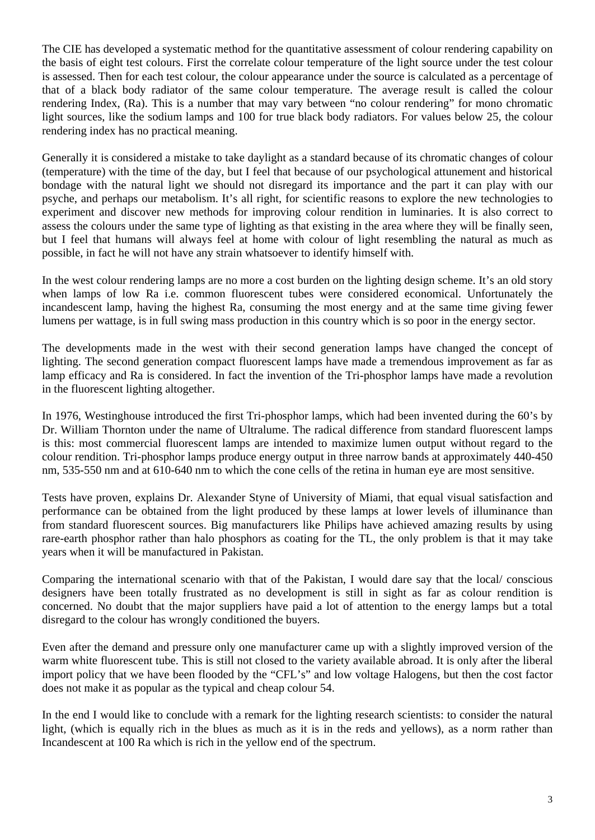The CIE has developed a systematic method for the quantitative assessment of colour rendering capability on the basis of eight test colours. First the correlate colour temperature of the light source under the test colour is assessed. Then for each test colour, the colour appearance under the source is calculated as a percentage of that of a black body radiator of the same colour temperature. The average result is called the colour rendering Index, (Ra). This is a number that may vary between "no colour rendering" for mono chromatic light sources, like the sodium lamps and 100 for true black body radiators. For values below 25, the colour rendering index has no practical meaning.

Generally it is considered a mistake to take daylight as a standard because of its chromatic changes of colour (temperature) with the time of the day, but I feel that because of our psychological attunement and historical bondage with the natural light we should not disregard its importance and the part it can play with our psyche, and perhaps our metabolism. It's all right, for scientific reasons to explore the new technologies to experiment and discover new methods for improving colour rendition in luminaries. It is also correct to assess the colours under the same type of lighting as that existing in the area where they will be finally seen, but I feel that humans will always feel at home with colour of light resembling the natural as much as possible, in fact he will not have any strain whatsoever to identify himself with.

In the west colour rendering lamps are no more a cost burden on the lighting design scheme. It's an old story when lamps of low Ra i.e. common fluorescent tubes were considered economical. Unfortunately the incandescent lamp, having the highest Ra, consuming the most energy and at the same time giving fewer lumens per wattage, is in full swing mass production in this country which is so poor in the energy sector.

The developments made in the west with their second generation lamps have changed the concept of lighting. The second generation compact fluorescent lamps have made a tremendous improvement as far as lamp efficacy and Ra is considered. In fact the invention of the Tri-phosphor lamps have made a revolution in the fluorescent lighting altogether.

In 1976, Westinghouse introduced the first Tri-phosphor lamps, which had been invented during the 60's by Dr. William Thornton under the name of Ultralume. The radical difference from standard fluorescent lamps is this: most commercial fluorescent lamps are intended to maximize lumen output without regard to the colour rendition. Tri-phosphor lamps produce energy output in three narrow bands at approximately 440-450 nm, 535-550 nm and at 610-640 nm to which the cone cells of the retina in human eye are most sensitive.

Tests have proven, explains Dr. Alexander Styne of University of Miami, that equal visual satisfaction and performance can be obtained from the light produced by these lamps at lower levels of illuminance than from standard fluorescent sources. Big manufacturers like Philips have achieved amazing results by using rare-earth phosphor rather than halo phosphors as coating for the TL, the only problem is that it may take years when it will be manufactured in Pakistan.

Comparing the international scenario with that of the Pakistan, I would dare say that the local/ conscious designers have been totally frustrated as no development is still in sight as far as colour rendition is concerned. No doubt that the major suppliers have paid a lot of attention to the energy lamps but a total disregard to the colour has wrongly conditioned the buyers.

Even after the demand and pressure only one manufacturer came up with a slightly improved version of the warm white fluorescent tube. This is still not closed to the variety available abroad. It is only after the liberal import policy that we have been flooded by the "CFL's" and low voltage Halogens, but then the cost factor does not make it as popular as the typical and cheap colour 54.

In the end I would like to conclude with a remark for the lighting research scientists: to consider the natural light, (which is equally rich in the blues as much as it is in the reds and yellows), as a norm rather than Incandescent at 100 Ra which is rich in the yellow end of the spectrum.